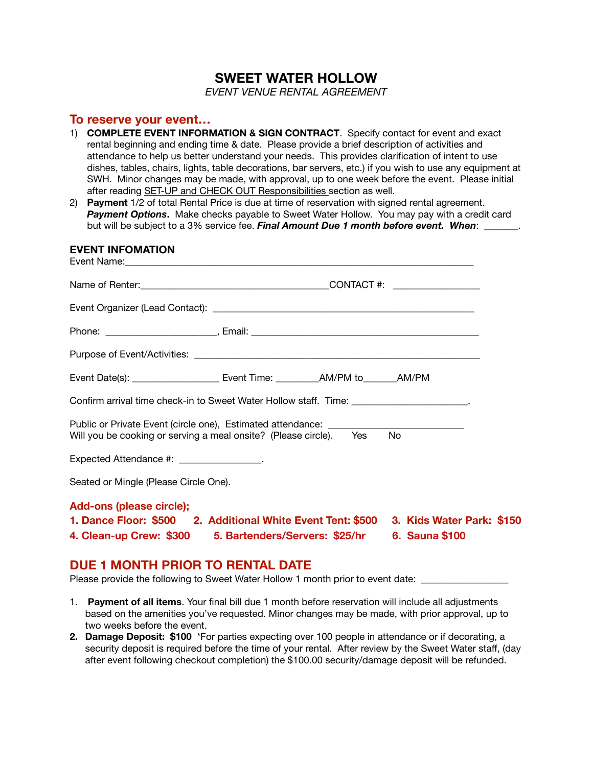# **SWEET WATER HOLLOW**

*EVENT VENUE RENTAL AGREEMENT*

## **To reserve your event…**

- 1) **COMPLETE EVENT INFORMATION & SIGN CONTRACT**. Specify contact for event and exact rental beginning and ending time & date. Please provide a brief description of activities and attendance to help us better understand your needs. This provides clarification of intent to use dishes, tables, chairs, lights, table decorations, bar servers, etc.) if you wish to use any equipment at SWH. Minor changes may be made, with approval, up to one week before the event. Please initial after reading SET-UP and CHECK OUT Responsibilities section as well.
- 2) **Payment** 1/2 of total Rental Price is due at time of reservation with signed rental agreement. *Payment Options***.** Make checks payable to Sweet Water Hollow. You may pay with a credit card but will be subject to a 3% service fee. *Final Amount Due 1 month before event. When*:

| <b>EVENT INFOMATION</b>                  |                                                                                                                                                         |                       |
|------------------------------------------|---------------------------------------------------------------------------------------------------------------------------------------------------------|-----------------------|
|                                          |                                                                                                                                                         |                       |
|                                          |                                                                                                                                                         |                       |
|                                          |                                                                                                                                                         |                       |
|                                          |                                                                                                                                                         |                       |
|                                          |                                                                                                                                                         |                       |
|                                          | Confirm arrival time check-in to Sweet Water Hollow staff. Time: ______________________.                                                                |                       |
|                                          | Public or Private Event (circle one), Estimated attendance: _____________________<br>Will you be cooking or serving a meal onsite? (Please circle). Yes | - No                  |
| Expected Attendance #: ________________. |                                                                                                                                                         |                       |
| Seated or Mingle (Please Circle One).    |                                                                                                                                                         |                       |
| Add-ons (please circle);                 | 1. Dance Floor: \$500 2. Additional White Event Tent: \$500 3. Kids Water Park: \$150<br>4. Clean-up Crew: \$300 5. Bartenders/Servers: \$25/hr         | <b>6. Sauna \$100</b> |

# **DUE 1 MONTH PRIOR TO RENTAL DATE**

Please provide the following to Sweet Water Hollow 1 month prior to event date: \_

- 1. **Payment of all items**. Your final bill due 1 month before reservation will include all adjustments based on the amenities you've requested. Minor changes may be made, with prior approval, up to two weeks before the event.
- **2. Damage Deposit: \$100** \*For parties expecting over 100 people in attendance or if decorating, a security deposit is required before the time of your rental. After review by the Sweet Water staff, (day after event following checkout completion) the \$100.00 security/damage deposit will be refunded.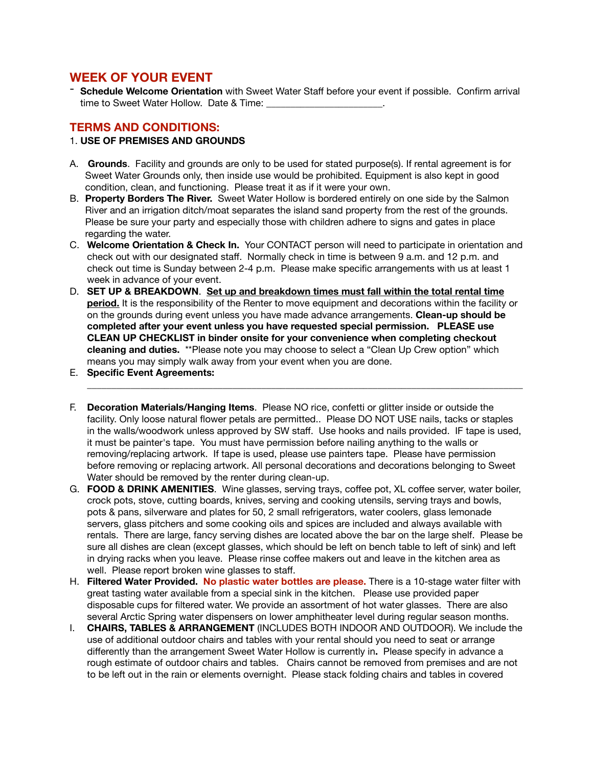# **WEEK OF YOUR EVENT**

- **Schedule Welcome Orientation** with Sweet Water Staff before your event if possible. Confirm arrival time to Sweet Water Hollow. Date & Time:

#### **TERMS AND CONDITIONS:**

#### 1. **USE OF PREMISES AND GROUNDS**

- A. **Grounds**. Facility and grounds are only to be used for stated purpose(s). If rental agreement is for Sweet Water Grounds only, then inside use would be prohibited. Equipment is also kept in good condition, clean, and functioning. Please treat it as if it were your own.
- B. **Property Borders The River.** Sweet Water Hollow is bordered entirely on one side by the Salmon River and an irrigation ditch/moat separates the island sand property from the rest of the grounds. Please be sure your party and especially those with children adhere to signs and gates in place regarding the water.
- C. **Welcome Orientation & Check In.** Your CONTACT person will need to participate in orientation and check out with our designated staff. Normally check in time is between 9 a.m. and 12 p.m. and check out time is Sunday between 2-4 p.m. Please make specific arrangements with us at least 1 week in advance of your event.
- D. **SET UP & BREAKDOWN**. **Set up and breakdown times must fall within the total rental time period.** It is the responsibility of the Renter to move equipment and decorations within the facility or on the grounds during event unless you have made advance arrangements. **Clean-up should be completed after your event unless you have requested special permission. PLEASE use CLEAN UP CHECKLIST in binder onsite for your convenience when completing checkout cleaning and duties.** \*\*Please note you may choose to select a "Clean Up Crew option" which means you may simply walk away from your event when you are done.
- E. **Specific Event Agreements:**
- F. **Decoration Materials/Hanging Items**. Please NO rice, confetti or glitter inside or outside the facility. Only loose natural flower petals are permitted.. Please DO NOT USE nails, tacks or staples in the walls/woodwork unless approved by SW staff. Use hooks and nails provided. IF tape is used, it must be painter's tape. You must have permission before nailing anything to the walls or removing/replacing artwork. If tape is used, please use painters tape. Please have permission before removing or replacing artwork. All personal decorations and decorations belonging to Sweet Water should be removed by the renter during clean-up.

**\_\_\_\_\_\_\_\_\_\_\_\_\_\_\_\_\_\_\_\_\_\_\_\_\_\_\_\_\_\_\_\_\_\_\_\_\_\_\_\_\_\_\_\_\_\_\_\_\_\_\_\_\_\_\_\_\_\_\_\_\_\_\_\_\_\_\_\_\_\_\_\_\_\_\_\_\_\_\_\_\_\_\_\_\_\_\_\_\_\_**

- G. **FOOD & DRINK AMENITIES**. Wine glasses, serving trays, coffee pot, XL coffee server, water boiler, crock pots, stove, cutting boards, knives, serving and cooking utensils, serving trays and bowls, pots & pans, silverware and plates for 50, 2 small refrigerators, water coolers, glass lemonade servers, glass pitchers and some cooking oils and spices are included and always available with rentals. There are large, fancy serving dishes are located above the bar on the large shelf. Please be sure all dishes are clean (except glasses, which should be left on bench table to left of sink) and left in drying racks when you leave. Please rinse coffee makers out and leave in the kitchen area as well. Please report broken wine glasses to staff.
- H. **Filtered Water Provided. No plastic water bottles are please.** There is a 10-stage water filter with great tasting water available from a special sink in the kitchen. Please use provided paper disposable cups for filtered water. We provide an assortment of hot water glasses. There are also several Arctic Spring water dispensers on lower amphitheater level during regular season months.
- I. **CHAIRS, TABLES & ARRANGEMENT** (INCLUDES BOTH INDOOR AND OUTDOOR). We include the use of additional outdoor chairs and tables with your rental should you need to seat or arrange differently than the arrangement Sweet Water Hollow is currently in**.** Please specify in advance a rough estimate of outdoor chairs and tables. Chairs cannot be removed from premises and are not to be left out in the rain or elements overnight. Please stack folding chairs and tables in covered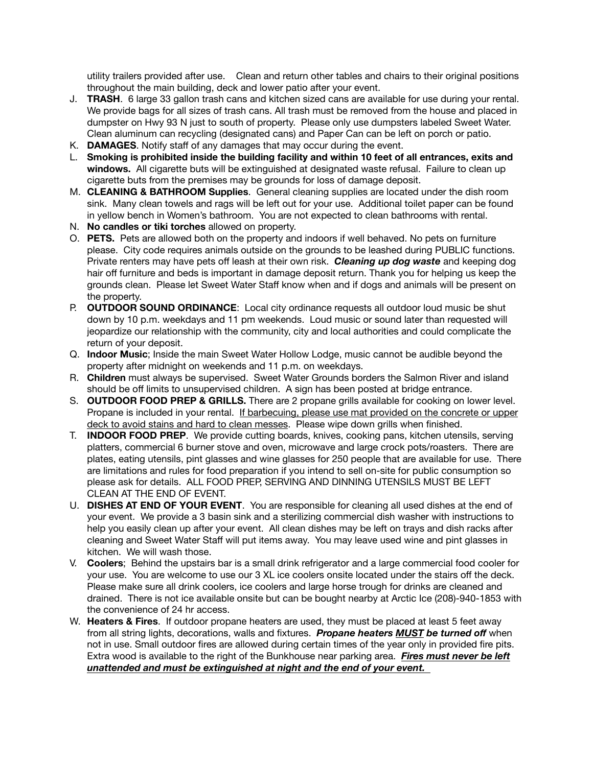utility trailers provided after use. Clean and return other tables and chairs to their original positions throughout the main building, deck and lower patio after your event.

- J. **TRASH**. 6 large 33 gallon trash cans and kitchen sized cans are available for use during your rental. We provide bags for all sizes of trash cans. All trash must be removed from the house and placed in dumpster on Hwy 93 N just to south of property. Please only use dumpsters labeled Sweet Water. Clean aluminum can recycling (designated cans) and Paper Can can be left on porch or patio.
- K. **DAMAGES**. Notify staff of any damages that may occur during the event.
- L. **Smoking is prohibited inside the building facility and within 10 feet of all entrances, exits and windows.** All cigarette buts will be extinguished at designated waste refusal. Failure to clean up cigarette buts from the premises may be grounds for loss of damage deposit.
- M. **CLEANING & BATHROOM Supplies**. General cleaning supplies are located under the dish room sink. Many clean towels and rags will be left out for your use. Additional toilet paper can be found in yellow bench in Women's bathroom. You are not expected to clean bathrooms with rental.
- N. **No candles or tiki torches** allowed on property.
- O. **PETS.** Pets are allowed both on the property and indoors if well behaved. No pets on furniture please. City code requires animals outside on the grounds to be leashed during PUBLIC functions. Private renters may have pets off leash at their own risk. *Cleaning up dog waste* and keeping dog hair off furniture and beds is important in damage deposit return. Thank you for helping us keep the grounds clean. Please let Sweet Water Staff know when and if dogs and animals will be present on the property.
- P. **OUTDOOR SOUND ORDINANCE**: Local city ordinance requests all outdoor loud music be shut down by 10 p.m. weekdays and 11 pm weekends. Loud music or sound later than requested will jeopardize our relationship with the community, city and local authorities and could complicate the return of your deposit.
- Q. **Indoor Music**; Inside the main Sweet Water Hollow Lodge, music cannot be audible beyond the property after midnight on weekends and 11 p.m. on weekdays.
- R. **Children** must always be supervised. Sweet Water Grounds borders the Salmon River and island should be off limits to unsupervised children. A sign has been posted at bridge entrance.
- S. **OUTDOOR FOOD PREP & GRILLS.** There are 2 propane grills available for cooking on lower level. Propane is included in your rental. If barbecuing, please use mat provided on the concrete or upper deck to avoid stains and hard to clean messes. Please wipe down grills when finished.
- T. **INDOOR FOOD PREP**. We provide cutting boards, knives, cooking pans, kitchen utensils, serving platters, commercial 6 burner stove and oven, microwave and large crock pots/roasters. There are plates, eating utensils, pint glasses and wine glasses for 250 people that are available for use. There are limitations and rules for food preparation if you intend to sell on-site for public consumption so please ask for details. ALL FOOD PREP, SERVING AND DINNING UTENSILS MUST BE LEFT CLEAN AT THE END OF EVENT.
- U. **DISHES AT END OF YOUR EVENT**. You are responsible for cleaning all used dishes at the end of your event. We provide a 3 basin sink and a sterilizing commercial dish washer with instructions to help you easily clean up after your event. All clean dishes may be left on trays and dish racks after cleaning and Sweet Water Staff will put items away. You may leave used wine and pint glasses in kitchen. We will wash those.
- V. **Coolers**; Behind the upstairs bar is a small drink refrigerator and a large commercial food cooler for your use. You are welcome to use our 3 XL ice coolers onsite located under the stairs off the deck. Please make sure all drink coolers, ice coolers and large horse trough for drinks are cleaned and drained. There is not ice available onsite but can be bought nearby at Arctic Ice (208)-940-1853 with the convenience of 24 hr access.
- W. **Heaters & Fires**. If outdoor propane heaters are used, they must be placed at least 5 feet away from all string lights, decorations, walls and fixtures. *Propane heaters MUST be turned off* when not in use. Small outdoor fires are allowed during certain times of the year only in provided fire pits. Extra wood is available to the right of the Bunkhouse near parking area. *Fires must never be left unattended and must be extinguished at night and the end of your event.*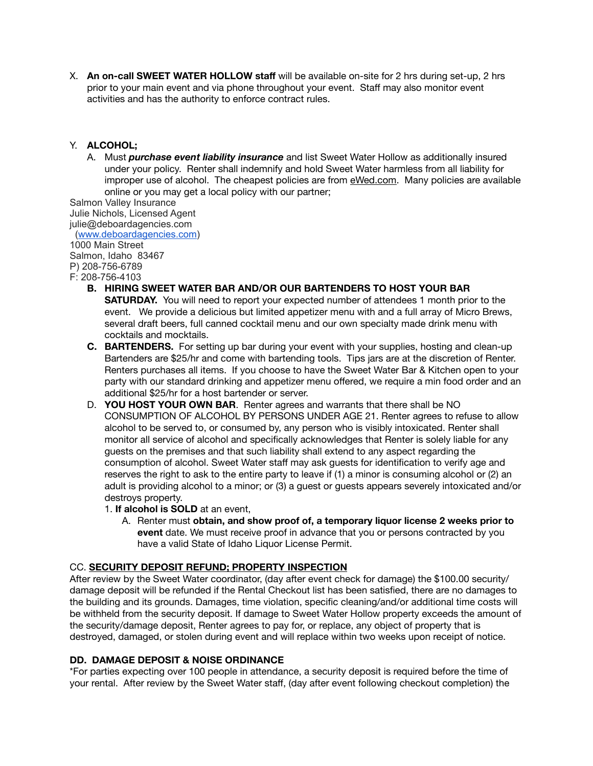X. **An on-call SWEET WATER HOLLOW staff** will be available on-site for 2 hrs during set-up, 2 hrs prior to your main event and via phone throughout your event. Staff may also monitor event activities and has the authority to enforce contract rules.

#### Y. **ALCOHOL;**

A. Must *purchase event liability insurance* and list Sweet Water Hollow as additionally insured under your policy. Renter shall indemnify and hold Sweet Water harmless from all liability for improper use of alcohol. The cheapest policies are from [eWed.com.](http://eWed.com) Many policies are available online or you may get a local policy with our partner;

Salmon Valley Insurance Julie Nichols, Licensed Agent julie@deboardagencies.com ([www.deboardagencies.com](http://www.deboardagencies.com/))

1000 Main Street Salmon, Idaho 83467 P) 208-756-6789 F: 208-756-4103

- **B. HIRING SWEET WATER BAR AND/OR OUR BARTENDERS TO HOST YOUR BAR SATURDAY.** You will need to report your expected number of attendees 1 month prior to the event. We provide a delicious but limited appetizer menu with and a full array of Micro Brews, several draft beers, full canned cocktail menu and our own specialty made drink menu with cocktails and mocktails.
- **C. BARTENDERS.** For setting up bar during your event with your supplies, hosting and clean-up Bartenders are \$25/hr and come with bartending tools. Tips jars are at the discretion of Renter. Renters purchases all items. If you choose to have the Sweet Water Bar & Kitchen open to your party with our standard drinking and appetizer menu offered, we require a min food order and an additional \$25/hr for a host bartender or server.
- D. **YOU HOST YOUR OWN BAR**. Renter agrees and warrants that there shall be NO CONSUMPTION OF ALCOHOL BY PERSONS UNDER AGE 21. Renter agrees to refuse to allow alcohol to be served to, or consumed by, any person who is visibly intoxicated. Renter shall monitor all service of alcohol and specifically acknowledges that Renter is solely liable for any guests on the premises and that such liability shall extend to any aspect regarding the consumption of alcohol. Sweet Water staff may ask guests for identification to verify age and reserves the right to ask to the entire party to leave if (1) a minor is consuming alcohol or (2) an adult is providing alcohol to a minor; or (3) a guest or guests appears severely intoxicated and/or destroys property.
	- 1. **If alcohol is SOLD** at an event,
		- A. Renter must **obtain, and show proof of, a temporary liquor license 2 weeks prior to event** date. We must receive proof in advance that you or persons contracted by you have a valid State of Idaho Liquor License Permit.

#### CC. **SECURITY DEPOSIT REFUND; PROPERTY INSPECTION**

After review by the Sweet Water coordinator, (day after event check for damage) the \$100.00 security/ damage deposit will be refunded if the Rental Checkout list has been satisfied, there are no damages to the building and its grounds. Damages, time violation, specific cleaning/and/or additional time costs will be withheld from the security deposit. If damage to Sweet Water Hollow property exceeds the amount of the security/damage deposit, Renter agrees to pay for, or replace, any object of property that is destroyed, damaged, or stolen during event and will replace within two weeks upon receipt of notice.

#### **DD. DAMAGE DEPOSIT & NOISE ORDINANCE**

\*For parties expecting over 100 people in attendance, a security deposit is required before the time of your rental. After review by the Sweet Water staff, (day after event following checkout completion) the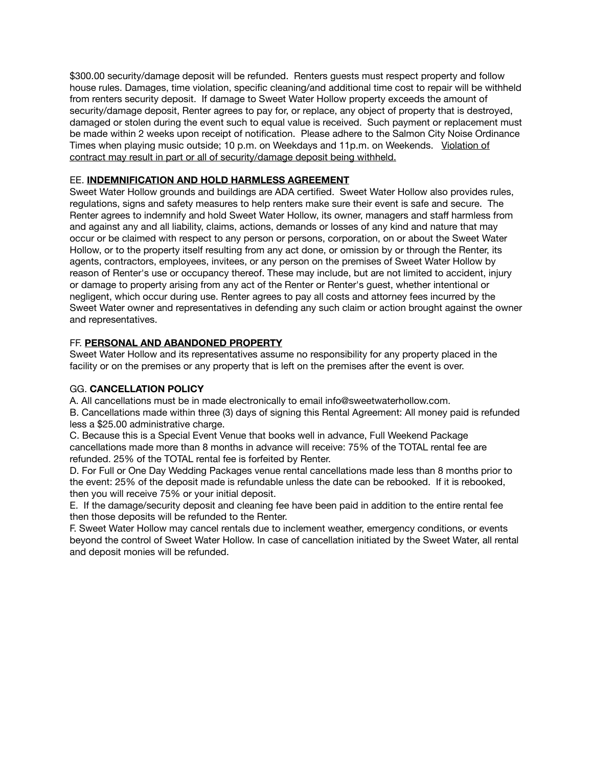\$300.00 security/damage deposit will be refunded. Renters guests must respect property and follow house rules. Damages, time violation, specific cleaning/and additional time cost to repair will be withheld from renters security deposit. If damage to Sweet Water Hollow property exceeds the amount of security/damage deposit, Renter agrees to pay for, or replace, any object of property that is destroyed, damaged or stolen during the event such to equal value is received. Such payment or replacement must be made within 2 weeks upon receipt of notification. Please adhere to the Salmon City Noise Ordinance Times when playing music outside; 10 p.m. on Weekdays and 11p.m. on Weekends. Violation of contract may result in part or all of security/damage deposit being withheld.

#### EE. **INDEMNIFICATION AND HOLD HARMLESS AGREEMENT**

Sweet Water Hollow grounds and buildings are ADA certified. Sweet Water Hollow also provides rules, regulations, signs and safety measures to help renters make sure their event is safe and secure. The Renter agrees to indemnify and hold Sweet Water Hollow, its owner, managers and staff harmless from and against any and all liability, claims, actions, demands or losses of any kind and nature that may occur or be claimed with respect to any person or persons, corporation, on or about the Sweet Water Hollow, or to the property itself resulting from any act done, or omission by or through the Renter, its agents, contractors, employees, invitees, or any person on the premises of Sweet Water Hollow by reason of Renter's use or occupancy thereof. These may include, but are not limited to accident, injury or damage to property arising from any act of the Renter or Renter's guest, whether intentional or negligent, which occur during use. Renter agrees to pay all costs and attorney fees incurred by the Sweet Water owner and representatives in defending any such claim or action brought against the owner and representatives.

#### FF. **PERSONAL AND ABANDONED PROPERTY**

Sweet Water Hollow and its representatives assume no responsibility for any property placed in the facility or on the premises or any property that is left on the premises after the event is over.

### GG. **CANCELLATION POLICY**

A. All cancellations must be in made electronically to email info@sweetwaterhollow.com.

B. Cancellations made within three (3) days of signing this Rental Agreement: All money paid is refunded less a \$25.00 administrative charge.

C. Because this is a Special Event Venue that books well in advance, Full Weekend Package cancellations made more than 8 months in advance will receive: 75% of the TOTAL rental fee are refunded. 25% of the TOTAL rental fee is forfeited by Renter.

D. For Full or One Day Wedding Packages venue rental cancellations made less than 8 months prior to the event: 25% of the deposit made is refundable unless the date can be rebooked. If it is rebooked, then you will receive 75% or your initial deposit.

E. If the damage/security deposit and cleaning fee have been paid in addition to the entire rental fee then those deposits will be refunded to the Renter.

F. Sweet Water Hollow may cancel rentals due to inclement weather, emergency conditions, or events beyond the control of Sweet Water Hollow. In case of cancellation initiated by the Sweet Water, all rental and deposit monies will be refunded.